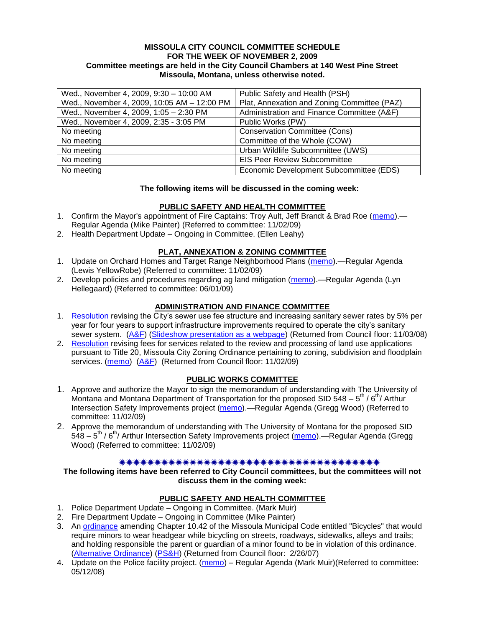### **MISSOULA CITY COUNCIL COMMITTEE SCHEDULE FOR THE WEEK OF NOVEMBER 2, 2009 Committee meetings are held in the City Council Chambers at 140 West Pine Street Missoula, Montana, unless otherwise noted.**

| Wed., November 4, 2009, 9:30 - 10:00 AM     | Public Safety and Health (PSH)              |
|---------------------------------------------|---------------------------------------------|
| Wed., November 4, 2009, 10:05 AM - 12:00 PM | Plat, Annexation and Zoning Committee (PAZ) |
| Wed., November 4, 2009, 1:05 - 2:30 PM      | Administration and Finance Committee (A&F)  |
| Wed., November 4, 2009, 2:35 - 3:05 PM      | Public Works (PW)                           |
| No meeting                                  | <b>Conservation Committee (Cons)</b>        |
| No meeting                                  | Committee of the Whole (COW)                |
| No meeting                                  | Urban Wildlife Subcommittee (UWS)           |
| No meeting                                  | <b>EIS Peer Review Subcommittee</b>         |
| No meeting                                  | Economic Development Subcommittee (EDS)     |

### **The following items will be discussed in the coming week:**

### **PUBLIC SAFETY AND HEALTH COMMITTEE**

- 1. Confirm the Mayor's appointment of Fire Captains: Troy Ault, Jeff Brandt & Brad Roe [\(memo\)](http://www.ci.missoula.mt.us/DocumentView.aspx?DID=2488) Regular Agenda (Mike Painter) (Referred to committee: 11/02/09)
- 2. Health Department Update Ongoing in Committee. (Ellen Leahy)

### **PLAT, ANNEXATION & ZONING COMMITTEE**

- 1. Update on Orchard Homes and Target Range Neighborhood Plans [\(memo\)](http://www.ci.missoula.mt.us/DocumentView.aspx?DID=2490).—Regular Agenda (Lewis YellowRobe) (Referred to committee: 11/02/09)
- 2. Develop policies and procedures regarding ag land mitigation [\(memo\)](http://www.ci.missoula.mt.us/DocumentView.aspx?DID=1272).—Regular Agenda (Lyn Hellegaard) (Referred to committee: 06/01/09)

### **ADMINISTRATION AND FINANCE COMMITTEE**

- 1. [Resolution](ftp://ftp.ci.missoula.mt.us/Packets/Council/2008/2008-09-22/referrals/Sewerrateresolution.pdf) revising the City's sewer use fee structure and increasing sanitary sewer rates by 5% per year for four years to support infrastructure improvements required to operate the city's sanitary sewer system. [\(A&F\)](ftp://ftp.ci.missoula.mt.us/Packets/Council/2008/2008-10-06/081001af.pdf) [\(Slideshow presentation as a webpage\)](ftp://ftp.ci.missoula.mt.us/Packets/Council/2008/2008-11-03/2008-11-03SewerUserRateIncrease_files/frame.htm) (Returned from Council floor: 11/03/08)
- 2. [Resolution](http://www.ci.missoula.mt.us/DocumentView.aspx?DID=2399) revising fees for services related to the review and processing of land use applications pursuant to Title 20, Missoula City Zoning Ordinance pertaining to zoning, subdivision and floodplain services. [\(memo\)](http://www.ci.missoula.mt.us/DocumentView.aspx?DID=2387) [\(A&F\)](http://www.ci.missoula.mt.us/Archive.aspx?ADID=1335) (Returned from Council floor: 11/02/09)

### **PUBLIC WORKS COMMITTEE**

- 1. Approve and authorize the Mayor to sign the memorandum of understanding with The University of Montana and Montana Department of Transportation for the proposed SID 548 –  $5^{th}$  /  $6^{th}$  Arthur Intersection Safety Improvements project [\(memo\)](http://www.ci.missoula.mt.us/DocumentView.aspx?DID=2487).—Regular Agenda (Gregg Wood) (Referred to committee: 11/02/09)
- 2. Approve the memorandum of understanding with The University of Montana for the proposed SID 548 – 5<sup>th</sup> / 6<sup>th</sup>/ Arthur Intersection Safety Improvements project [\(memo\)](http://www.ci.missoula.mt.us/DocumentView.aspx?DID=2489).—Regular Agenda (Gregg Wood) (Referred to committee: 11/02/09)

### 

**The following items have been referred to City Council committees, but the committees will not discuss them in the coming week:**

### **PUBLIC SAFETY AND HEALTH COMMITTEE**

- 1. Police Department Update Ongoing in Committee. (Mark Muir)
- 2. Fire Department Update Ongoing in Committee (Mike Painter)
- 3. An [ordinance](ftp://ftp.ci.missoula.mt.us/Packets/Council/2007/2007-02-05/07-01-31 Helmet and bikes psh.htm) amending Chapter 10.42 of the Missoula Municipal Code entitled "Bicycles" that would require minors to wear headgear while bicycling on streets, roadways, sidewalks, alleys and trails; and holding responsible the parent or guardian of a minor found to be in violation of this ordinance. [\(Alternative Ordinance\)](ftp://ftp.ci.missoula.mt.us/Packets/Council/2007/2007-02-26/07-02-19_Alternative_Helmet_and_bikes.htm) [\(PS&H\)](ftp://ftp.ci.missoula.mt.us/Packets/Council/2007/2007-02-05/070131psh.pdf) (Returned from Council floor: 2/26/07)
- 4. Update on the Police facility project. [\(memo\)](ftp://ftp.ci.missoula.mt.us/Packets/Council/2008/2008-05-12/Referrals/Buildingpresentationreferral.htm) Regular Agenda (Mark Muir)(Referred to committee: 05/12/08)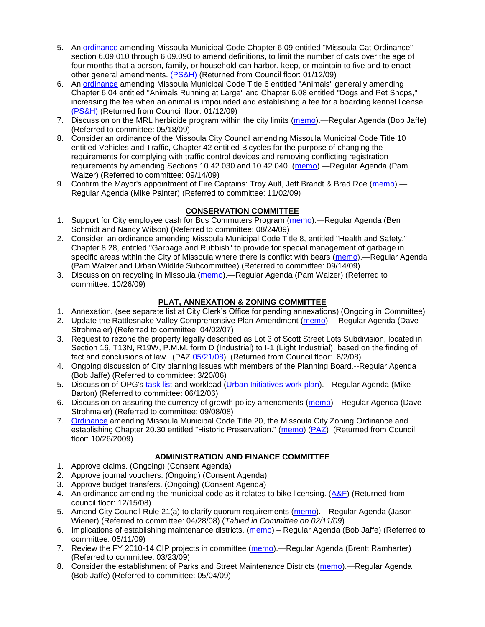- 5. An [ordinance](ftp://ftp.ci.missoula.mt.us/Packets/Council/2008/2008-12-15/2008CatOrdinanceAmendment%5B1%5D.pdf) amending Missoula Municipal Code Chapter 6.09 entitled "Missoula Cat Ordinance" section 6.09.010 through 6.09.090 to amend definitions, to limit the number of cats over the age of four months that a person, family, or household can harbor, keep, or maintain to five and to enact other general amendments. [\(PS&H\)](ftp://ftp.ci.missoula.mt.us/Packets/Council/2008/2008-12-15/081210psh.pdf) (Returned from Council floor: 01/12/09)
- 6. An [ordinance](ftp://ftp.ci.missoula.mt.us/Packets/Council/2008/2008-12-15/DogOrdinance--PSHrevisions.pdf) amending Missoula Municipal Code Title 6 entitled "Animals" generally amending Chapter 6.04 entitled "Animals Running at Large" and Chapter 6.08 entitled "Dogs and Pet Shops," increasing the fee when an animal is impounded and establishing a fee for a boarding kennel license. [\(PS&H\)](ftp://ftp.ci.missoula.mt.us/Packets/Council/2008/2008-12-15/081210psh.pdf) (Returned from Council floor: 01/12/09)
- 7. Discussion on the MRL herbicide program within the city limits [\(memo\)](ftp://ftp.ci.missoula.mt.us/Packets/Council/2009/2009-05-18/Referrals/MRLWeedSprayingReferral.pdf).—Regular Agenda (Bob Jaffe) (Referred to committee: 05/18/09)
- 8. Consider an ordinance of the Missoula City Council amending Missoula Municipal Code Title 10 entitled Vehicles and Traffic, Chapter 42 entitled Bicycles for the purpose of changing the requirements for complying with traffic control devices and removing conflicting registration requirements by amending Sections 10.42.030 and 10.42.040. [\(memo\)](http://www.ci.missoula.mt.us/DocumentView.aspx?DID=2223).—Regular Agenda (Pam Walzer) (Referred to committee: 09/14/09)
- 9. Confirm the Mayor's appointment of Fire Captains: Troy Ault, Jeff Brandt & Brad Roe [\(memo\)](http://www.ci.missoula.mt.us/DocumentView.aspx?DID=2488). Regular Agenda (Mike Painter) (Referred to committee: 11/02/09)

# **CONSERVATION COMMITTEE**

- 1. Support for City employee cash for Bus Commuters Program [\(memo\)](http://www.ci.missoula.mt.us/DocumentView.aspx?DID=2127).—Regular Agenda (Ben Schmidt and Nancy Wilson) (Referred to committee: 08/24/09)
- 2. Consider an ordinance amending Missoula Municipal Code Title 8, entitled "Health and Safety," Chapter 8.28, entitled "Garbage and Rubbish" to provide for special management of garbage in specific areas within the City of Missoula where there is conflict with bears [\(memo\)](http://www.ci.missoula.mt.us/DocumentView.aspx?DID=2228).—Regular Agenda (Pam Walzer and Urban Wildlife Subcommittee) (Referred to committee: 09/14/09)
- 3. Discussion on recycling in Missoula [\(memo\)](http://www.ci.missoula.mt.us/DocumentView.aspx?DID=2461).—Regular Agenda (Pam Walzer) (Referred to committee: 10/26/09)

# **PLAT, ANNEXATION & ZONING COMMITTEE**

- 1. Annexation. (see separate list at City Clerk's Office for pending annexations) (Ongoing in Committee)
- 2. Update the Rattlesnake Valley Comprehensive Plan Amendment [\(memo\)](ftp://ftp.ci.missoula.mt.us/Packets/Council/2007/2007-04-02/Referrals/Rattlesnake_Plan_Update_referral.pdf).—Regular Agenda (Dave Strohmaier) (Referred to committee: 04/02/07)
- 3. Request to rezone the property legally described as Lot 3 of Scott Street Lots Subdivision, located in Section 16, T13N, R19W, P.M.M. form D (Industrial) to I-1 (Light Industrial), based on the finding of fact and conclusions of law. (PAZ [05/21/08\)](ftp://ftp.ci.missoula.mt.us/Packets/Council/2008/2008-06-02/080521paz.pdf) (Returned from Council floor: 6/2/08)
- 4. Ongoing discussion of City planning issues with members of the Planning Board.--Regular Agenda (Bob Jaffe) (Referred to committee: 3/20/06)
- 5. Discussion of OPG's [task list](ftp://ftp.ci.missoula.mt.us/Packets/Council/2008/2008-07-07/UITaskList.pdf) and workload [\(Urban Initiatives work plan\)](ftp://ftp.ci.missoula.mt.us/Packets/Council/2006/2006-06-12/Referrals/Urban_Init.htm).—Regular Agenda (Mike Barton) (Referred to committee: 06/12/06)
- 6. Discussion on assuring the currency of growth policy amendments [\(memo\)](ftp://ftp.ci.missoula.mt.us/Packets/Council/2008/2008-09-08/Referrals/Plan_updates.pdf)—Regular Agenda (Dave Strohmaier) (Referred to committee: 09/08/08)
- 7. [Ordinance](http://www.ci.missoula.mt.us/DocumentView.aspx?DID=2328) amending Missoula Municipal Code Title 20, the Missoula City Zoning Ordinance and establishing Chapter 20.30 entitled "Historic Preservation." [\(memo\)](http://www.ci.missoula.mt.us/DocumentView.aspx?DID=2306) [\(PAZ\)](http://www.ci.missoula.mt.us/Archive.aspx?ADID=1285) (Returned from Council floor: 10/26/2009)

# **ADMINISTRATION AND FINANCE COMMITTEE**

- 1. Approve claims. (Ongoing) (Consent Agenda)
- 2. Approve journal vouchers. (Ongoing) (Consent Agenda)
- 3. Approve budget transfers. (Ongoing) (Consent Agenda)
- 4. An ordinance amending the municipal code as it relates to bike licensing.  $(A\&F)$  (Returned from council floor: 12/15/08)
- 5. Amend City Council Rule 21(a) to clarify quorum requirements [\(memo\)](ftp://ftp.ci.missoula.mt.us/Packets/Council/2008/2008-04-28/Referrals/CouncilRule21aReferral.pdf).—Regular Agenda (Jason Wiener) (Referred to committee: 04/28/08) (*Tabled in Committee on 02/11/09*)
- 6. Implications of establishing maintenance districts. [\(memo\)](ftp://ftp.ci.missoula.mt.us/Packets/Council/2009/2009-05-11/Referrals/MaintenanceDistricts.pdf) Regular Agenda (Bob Jaffe) (Referred to committee: 05/11/09)
- 7. Review the FY 2010-14 CIP projects in committee [\(memo\)](ftp://ftp.ci.missoula.mt.us/Packets/Council/2009/2009-03-23/Referrals/RefAFCIPBudgetReviewFY2010-2014CIP.pdf).—Regular Agenda (Brentt Ramharter) (Referred to committee: 03/23/09)
- 8. Consider the establishment of Parks and Street Maintenance Districts [\(memo\)](ftp://ftp.ci.missoula.mt.us/Packets/Council/2009/2009-05-04/Referrals/MaintenanceDistricts.pdf).—Regular Agenda (Bob Jaffe) (Referred to committee: 05/04/09)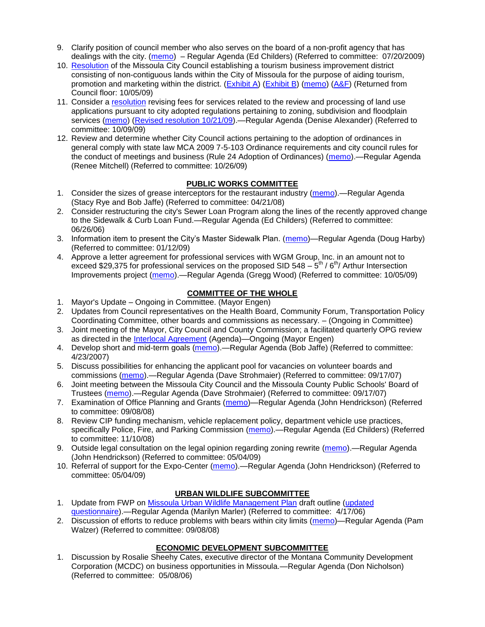- 9. Clarify position of council member who also serves on the board of a non-profit agency that has dealings with the city. [\(memo\)](http://www.ci.missoula.mt.us/DocumentView.aspx?DID=1840) – Regular Agenda (Ed Childers) (Referred to committee: 07/20/2009)
- 10. [Resolution](http://www.ci.missoula.mt.us/DocumentView.aspx?DID=2373) of the Missoula City Council establishing a tourism business improvement district consisting of non-contiguous lands within the City of Missoula for the purpose of aiding tourism, promotion and marketing within the district. [\(Exhibit](http://www.ci.missoula.mt.us/DocumentView.aspx?DID=2090) A) [\(Exhibit B\)](http://www.ci.missoula.mt.us/DocumentView.aspx?DID=2374) [\(memo\)](http://www.ci.missoula.mt.us/DocumentView.aspx?DID=2097) [\(A&F\)](http://www.ci.missoula.mt.us/Archive.aspx?ADID=1172) (Returned from Council floor: 10/05/09)
- 11. Consider a [resolution](http://www.ci.missoula.mt.us/DocumentView.aspx?DID=2444) revising fees for services related to the review and processing of land use applications pursuant to city adopted regulations pertaining to zoning, subdivision and floodplain services [\(memo\)](http://www.ci.missoula.mt.us/DocumentView.aspx?DID=2387) [\(Revised resolution 10/21/09\)](http://www.ci.missoula.mt.us/DocumentView.aspx?DID=2399).—Regular Agenda (Denise Alexander) (Referred to committee: 10/09/09)
- 12. Review and determine whether City Council actions pertaining to the adoption of ordinances in general comply with state law MCA 2009 7-5-103 Ordinance requirements and city council rules for the conduct of meetings and business (Rule 24 Adoption of Ordinances) [\(memo\)](http://www.ci.missoula.mt.us/DocumentView.aspx?DID=2468).—Regular Agenda (Renee Mitchell) (Referred to committee: 10/26/09)

# **PUBLIC WORKS COMMITTEE**

- 1. Consider the sizes of grease interceptors for the restaurant industry [\(memo\)](ftp://ftp.ci.missoula.mt.us/Packets/Council/2008/2008-04-21/Referrals/Industrial_waste_restaurants.pdf).—Regular Agenda (Stacy Rye and Bob Jaffe) (Referred to committee: 04/21/08)
- 2. Consider restructuring the city's Sewer Loan Program along the lines of the recently approved change to the Sidewalk & Curb Loan Fund.—Regular Agenda (Ed Childers) (Referred to committee: 06/26/06)
- 3. Information item to present the City's Master Sidewalk Plan. [\(memo\)](ftp://ftp.ci.missoula.mt.us/packets/council/2009/2009-01-12/Referrals/MstrSdwlkPlnREF.pdf)—Regular Agenda (Doug Harby) (Referred to committee: 01/12/09)
- 4. Approve a letter agreement for professional services with WGM Group, Inc. in an amount not to exceed \$29,375 for professional services on the proposed SID 548  $-5<sup>th</sup>$  / 6<sup>th</sup>/ Arthur Intersection Improvements project [\(memo\)](http://www.ci.missoula.mt.us/DocumentView.aspx?DID=2363).—Regular Agenda (Gregg Wood) (Referred to committee: 10/05/09)

## **COMMITTEE OF THE WHOLE**

- 1. Mayor's Update Ongoing in Committee. (Mayor Engen)
- 2. Updates from Council representatives on the Health Board, Community Forum, Transportation Policy Coordinating Committee, other boards and commissions as necessary. – (Ongoing in Committee)
- 3. Joint meeting of the Mayor, City Council and County Commission; a facilitated quarterly OPG review as directed in the [Interlocal Agreement](ftp://ftp.ci.missoula.mt.us/Documents/Mayor/OPG/Adopted-ILA-2005.pdf) (Agenda)—Ongoing (Mayor Engen)
- 4. Develop short and mid-term goals [\(memo\)](ftp://ftp.ci.missoula.mt.us/Packets/Council/2007/2007-04-23/Referrals/Council_Goals.pdf).—Regular Agenda (Bob Jaffe) (Referred to committee: 4/23/2007)
- 5. Discuss possibilities for enhancing the applicant pool for vacancies on volunteer boards and commissions [\(memo\)](ftp://ftp.ci.missoula.mt.us/Packets/Council/2007/2007-09-17/Referrals/board_and_commission_recruitment.pdf).—Regular Agenda (Dave Strohmaier) (Referred to committee: 09/17/07)
- 6. Joint meeting between the Missoula City Council and the Missoula County Public Schools' Board of Trustees [\(memo\)](ftp://ftp.ci.missoula.mt.us/Packets/Council/2007/2007-09-17/Referrals/Council_School_Board_referral.pdf).—Regular Agenda (Dave Strohmaier) (Referred to committee: 09/17/07)
- 7. Examination of Office Planning and Grants [\(memo\)](ftp://ftp.ci.missoula.mt.us/Packets/Council/2008/2008-09-08/Referrals/080825HendricksonOPGreferral.pdf)—Regular Agenda (John Hendrickson) (Referred to committee: 09/08/08)
- 8. Review CIP funding mechanism, vehicle replacement policy, department vehicle use practices, specifically Police, Fire, and Parking Commission [\(memo\)](ftp://ftp.ci.missoula.mt.us/Packets/Council/2008/2008-11-10/Referrals/ReviewBudgetary.pdf).—Regular Agenda (Ed Childers) (Referred to committee: 11/10/08)
- 9. Outside legal consultation on the legal opinion regarding zoning rewrite [\(memo\)](ftp://ftp.ci.missoula.mt.us/Packets/Council/2009/2009-05-04/Referrals/LegalCouncilZoningRewrite.pdf).—Regular Agenda (John Hendrickson) (Referred to committee: 05/04/09)
- 10. Referral of support for the Expo-Center [\(memo\)](ftp://ftp.ci.missoula.mt.us/Packets/Council/2009/2009-05-04/Referrals/Expocenterreferral.pdf).—Regular Agenda (John Hendrickson) (Referred to committee: 05/04/09)

# **URBAN WILDLIFE SUBCOMMITTEE**

- 1. Update from FWP on [Missoula Urban Wildlife Management Plan](ftp://ftp.ci.missoula.mt.us/Packets/Council/2006/2006-05-22/UW_mgmt_plan.htm) draft outline [\(updated](ftp://ftp.ci.missoula.mt.us/Packets/Council/2006/2006-09-25/Referrals/060925_UWS_Survey.htm)  [questionnaire\)](ftp://ftp.ci.missoula.mt.us/Packets/Council/2006/2006-09-25/Referrals/060925_UWS_Survey.htm).—Regular Agenda (Marilyn Marler) (Referred to committee: 4/17/06)
- 2. Discussion of efforts to reduce problems with bears within city limits [\(memo\)](ftp://ftp.ci.missoula.mt.us/Packets/Council/2008/2008-09-08/Referrals/UWSBearReferral.pdf)—Regular Agenda (Pam Walzer) (Referred to committee: 09/08/08)

# **ECONOMIC DEVELOPMENT SUBCOMMITTEE**

1. Discussion by Rosalie Sheehy Cates, executive director of the Montana Community Development Corporation (MCDC) on business opportunities in Missoula.—Regular Agenda (Don Nicholson) (Referred to committee: 05/08/06)